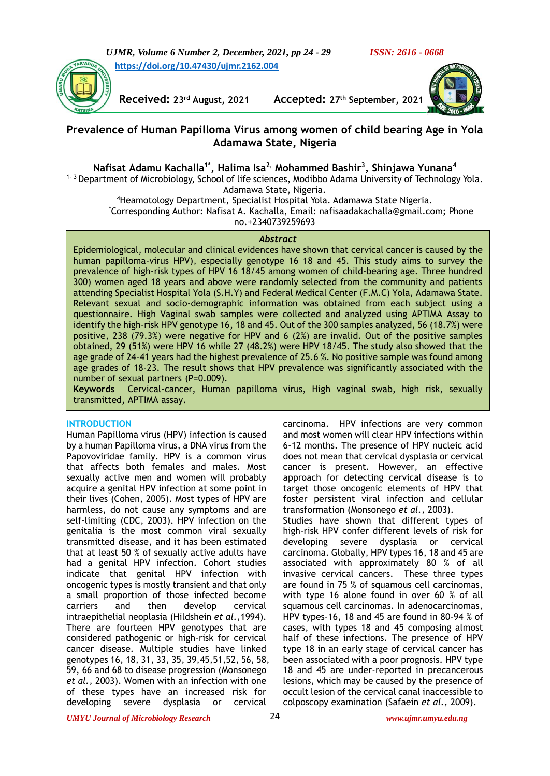*UJMR, Volume 6 Number 2, December, 2021, pp 24 - 29 ISSN: 2616 - 0668* **[https://doi.org/10.47430/ujmr.2162.004](https://doi.org/10.47430/ujmr.2162.001)**



**Received: 23rd August, 2021 Accepted: 27th September, 2021**



# **Prevalence of Human Papilloma Virus among women of child bearing Age in Yola Adamawa State, Nigeria**

# **Nafisat Adamu Kachalla1\*, Halima Isa2, Mohammed Bashir<sup>3</sup> , Shinjawa Yunana<sup>4</sup>**

<sup>1- 3</sup> Department of Microbiology, School of life sciences, Modibbo Adama University of Technology Yola. Adamawa State, Nigeria.

> <sup>4</sup>Heamotology Department, Specialist Hospital Yola. Adamawa State Nigeria. \*Corresponding Author: Nafisat A. Kachalla, Email: nafisaadakachalla@gmail.com; Phone no.+2340739259693

#### *Abstract*

Epidemiological, molecular and clinical evidences have shown that cervical cancer is caused by the human papilloma-virus HPV), especially genotype 16 18 and 45. This study aims to survey the prevalence of high-risk types of HPV 16 18/45 among women of child-bearing age. Three hundred 300) women aged 18 years and above were randomly selected from the community and patients attending Specialist Hospital Yola (S.H.Y) and Federal Medical Center (F.M.C) Yola, Adamawa State. Relevant sexual and socio-demographic information was obtained from each subject using a questionnaire. High Vaginal swab samples were collected and analyzed using APTIMA Assay to identify the high-risk HPV genotype 16, 18 and 45. Out of the 300 samples analyzed, 56 (18.7%) were positive, 238 (79.3%) were negative for HPV and 6 (2%) are invalid. Out of the positive samples obtained, 29 (51%) were HPV 16 while 27 (48.2%) were HPV 18/45. The study also showed that the age grade of 24-41 years had the highest prevalence of 25.6 %. No positive sample was found among age grades of 18-23. The result shows that HPV prevalence was significantly associated with the number of sexual partners (P=0.009).

**Keywords** Cervical-cancer, Human papilloma virus, High vaginal swab, high risk, sexually transmitted, APTIMA assay.

# **INTRODUCTION**

Human Papilloma virus (HPV) infection is caused by a human Papilloma virus, a DNA virus from the Papovoviridae family. HPV is a common virus that affects both females and males. Most sexually active men and women will probably acquire a genital HPV infection at some point in their lives (Cohen, 2005). Most types of HPV are harmless, do not cause any symptoms and are self-limiting (CDC, 2003). HPV infection on the genitalia is the most common viral sexually transmitted disease, and it has been estimated that at least 50 % of sexually active adults have had a genital HPV infection. Cohort studies indicate that genital HPV infection with oncogenic types is mostly transient and that only a small proportion of those infected become carriers and then develop cervical intraepithelial neoplasia (Hildshein *et al.,*1994). There are fourteen HPV genotypes that are considered pathogenic or high-risk for cervical cancer disease. Multiple studies have linked genotypes 16, 18, 31, 33, 35, 39,45,51,52, 56, 58, 59, 66 and 68 to disease progression (Monsonego *et al.,* 2003). Women with an infection with one of these types have an increased risk for developing severe dysplasia or cervical

carcinoma. HPV infections are very common and most women will clear HPV infections within 6-12 months. The presence of HPV nucleic acid does not mean that cervical dysplasia or cervical cancer is present. However, an effective approach for detecting cervical disease is to target those oncogenic elements of HPV that foster persistent viral infection and cellular transformation (Monsonego *et al.,* 2003). Studies have shown that different types of high-risk HPV confer different levels of risk for developing severe dysplasia or cervical carcinoma. Globally, HPV types 16, 18 and 45 are associated with approximately 80 % of all invasive cervical cancers. These three types are found in 75 % of squamous cell carcinomas, with type 16 alone found in over 60 % of all squamous cell carcinomas. In adenocarcinomas, HPV types-16, 18 and 45 are found in 80-94 % of cases, with types 18 and 45 composing almost

half of these infections. The presence of HPV type 18 in an early stage of cervical cancer has been associated with a poor prognosis. HPV type 18 and 45 are under-reported in precancerous lesions, which may be caused by the presence of occult lesion of the cervical canal inaccessible to colposcopy examination (Safaein *et al.,* 2009).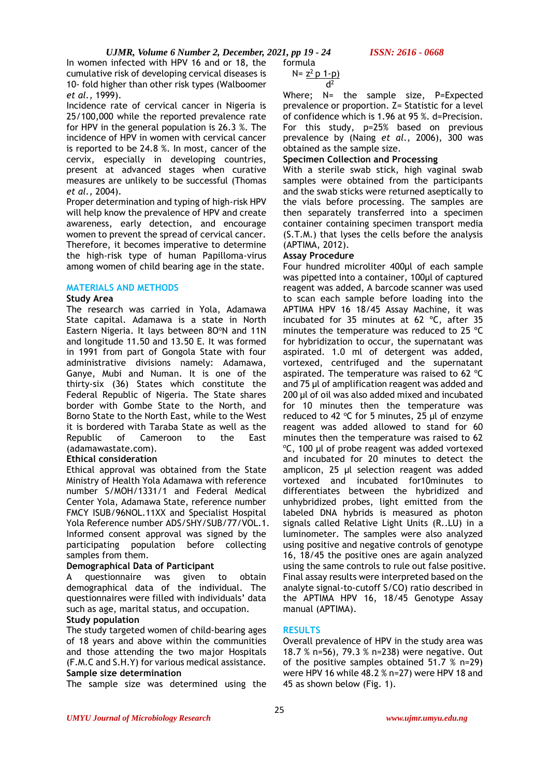*UJMR, Volume 6 Number 2, December, 2021, pp 19 - 24 ISSN: 2616 - 0668*

In women infected with HPV 16 and or 18, the cumulative risk of developing cervical diseases is 10- fold higher than other risk types (Walboomer *et al.,* 1999).

Incidence rate of cervical cancer in Nigeria is 25/100,000 while the reported prevalence rate for HPV in the general population is 26.3 %. The incidence of HPV in women with cervical cancer is reported to be 24.8 %. In most, cancer of the cervix, especially in developing countries, present at advanced stages when curative measures are unlikely to be successful (Thomas *et al.,* 2004).

Proper determination and typing of high-risk HPV will help know the prevalence of HPV and create awareness, early detection, and encourage women to prevent the spread of cervical cancer. Therefore, it becomes imperative to determine the high-risk type of human Papilloma-virus among women of child bearing age in the state.

#### **MATERIALS AND METHODS**

#### **Study Area**

The research was carried in Yola, Adamawa State capital. Adamawa is a state in North Eastern Nigeria. It lays between 80°N and 11N and longitude 11.50 and 13.50 E. It was formed in 1991 from part of Gongola State with four administrative divisions namely: Adamawa, Ganye, Mubi and Numan. It is one of the thirty-six (36) States which constitute the Federal Republic of Nigeria. The State shares border with Gombe State to the North, and Borno State to the North East, while to the West it is bordered with Taraba State as well as the Republic of Cameroon to the East (adamawastate.com).

# **Ethical consideration**

Ethical approval was obtained from the State Ministry of Health Yola Adamawa with reference number S/MOH/1331/1 and Federal Medical Center Yola, Adamawa State, reference number FMCY ISUB/96NOL.11XX and Specialist Hospital Yola Reference number ADS/SHY/SUB/77/VOL.1. Informed consent approval was signed by the participating population before collecting samples from them.

# **Demographical Data of Participant**

A questionnaire was given to obtain demographical data of the individual. The questionnaires were filled with individuals' data such as age, marital status, and occupation.

# **Study population**

The study targeted women of child-bearing ages of 18 years and above within the communities and those attending the two major Hospitals (F.M.C and S.H.Y) for various medical assistance. **Sample size determination**

The sample size was determined using the

formula  
N=
$$
\frac{z^2 p 1-p}{d^2}
$$

Where; N= the sample size, P=Expected prevalence or proportion. Z= Statistic for a level of confidence which is 1.96 at 95 %. d=Precision. For this study, p=25% based on previous prevalence by (Naing *et al.,* 2006), 300 was obtained as the sample size.

#### **Specimen Collection and Processing**

With a sterile swab stick, high vaginal swab samples were obtained from the participants and the swab sticks were returned aseptically to the vials before processing. The samples are then separately transferred into a specimen container containing specimen transport media (S.T.M.) that lyses the cells before the analysis (APTIMA, 2012).

#### **Assay Procedure**

Four hundred microliter 400µl of each sample was pipetted into a container, 100µl of captured reagent was added, A barcode scanner was used to scan each sample before loading into the APTIMA HPV 16 18/45 Assay Machine, it was incubated for 35 minutes at 62 ºC, after 35 minutes the temperature was reduced to 25 ºC for hybridization to occur, the supernatant was aspirated. 1.0 ml of detergent was added, vortexed, centrifuged and the supernatant aspirated. The temperature was raised to 62  $^{\circ}$ C and 75 µl of amplification reagent was added and 200 µl of oil was also added mixed and incubated for 10 minutes then the temperature was reduced to 42  $\degree$ C for 5 minutes, 25 µl of enzyme reagent was added allowed to stand for 60 minutes then the temperature was raised to 62 °C, 100 µl of probe reagent was added vortexed and incubated for 20 minutes to detect the amplicon, 25 µl selection reagent was added vortexed and incubated for10minutes to differentiates between the hybridized and unhybridized probes, light emitted from the labeled DNA hybrids is measured as photon signals called Relative Light Units (R..LU) in a luminometer. The samples were also analyzed using positive and negative controls of genotype 16, 18/45 the positive ones are again analyzed using the same controls to rule out false positive. Final assay results were interpreted based on the analyte signal-to-cutoff S/CO) ratio described in the APTIMA HPV 16, 18/45 Genotype Assay manual (APTIMA).

# **RESULTS**

Overall prevalence of HPV in the study area was 18.7 % n=56), 79.3 % n=238) were negative. Out of the positive samples obtained 51.7 % n=29) were HPV 16 while 48.2 % n=27) were HPV 18 and 45 as shown below (Fig. 1).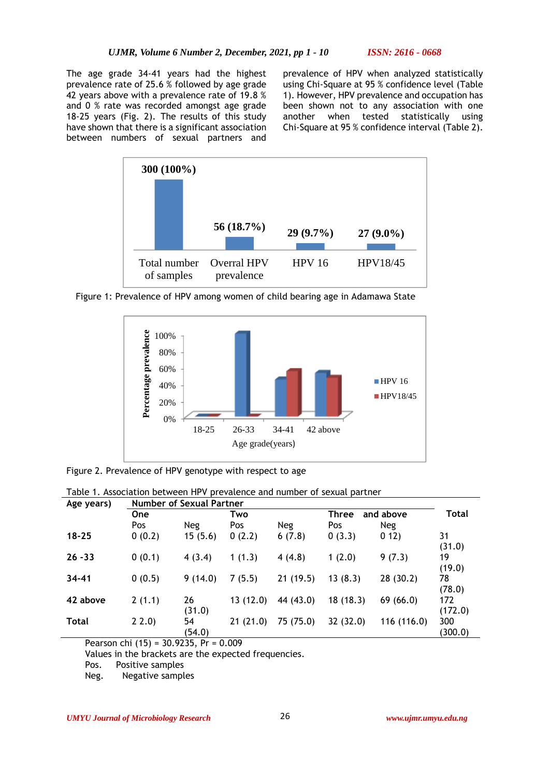The age grade 34-41 years had the highest prevalence rate of 25.6 % followed by age grade 42 years above with a prevalence rate of 19.8 % and 0 % rate was recorded amongst age grade 18-25 years (Fig. 2). The results of this study have shown that there is a significant association between numbers of sexual partners and prevalence of HPV when analyzed statistically using Chi-Square at 95 % confidence level (Table 1). However, HPV prevalence and occupation has been shown not to any association with one another when tested statistically using Chi-Square at 95 % confidence interval (Table 2).



Figure 1: Prevalence of HPV among women of child bearing age in Adamawa State



Figure 2. Prevalence of HPV genotype with respect to age

| Table 1. Association between HPV prevalence and number of sexual partner |  |
|--------------------------------------------------------------------------|--|
|                                                                          |  |

| Age years)   | <b>Number of Sexual Partner</b> |              |          |            |                    |            |                |  |
|--------------|---------------------------------|--------------|----------|------------|--------------------|------------|----------------|--|
|              | <b>One</b>                      |              | Two      |            | and above<br>Three |            | Total          |  |
|              | Pos                             | Neg          | Pos      | <b>Neg</b> | Pos                | <b>Neg</b> |                |  |
| $18 - 25$    | 0(0.2)                          | 15(5.6)      | 0(2.2)   | 6(7.8)     | 0(3.3)             | 012)       | 31<br>(31.0)   |  |
| $26 - 33$    | 0(0.1)                          | 4(3.4)       | 1(1.3)   | 4(4.8)     | 1(2.0)             | 9(7.3)     | 19<br>(19.0)   |  |
| $34 - 41$    | 0(0.5)                          | 9(14.0)      | 7(5.5)   | 21(19.5)   | 13(8.3)            | 28 (30.2)  | 78<br>(78.0)   |  |
| 42 above     | 2(1.1)                          | 26<br>(31.0) | 13(12.0) | 44 (43.0)  | 18(18.3)           | 69(66.0)   | 172<br>(172.0) |  |
| <b>Total</b> | 22.0                            | 54<br>(54.0) | 21(21.0) | 75 (75.0)  | 32 (32.0)          | 116(116.0) | 300<br>(300.0) |  |

Pearson chi (15) = 30.9235, Pr = 0.009

Values in the brackets are the expected frequencies.

Pos. Positive samples

Neg. Negative samples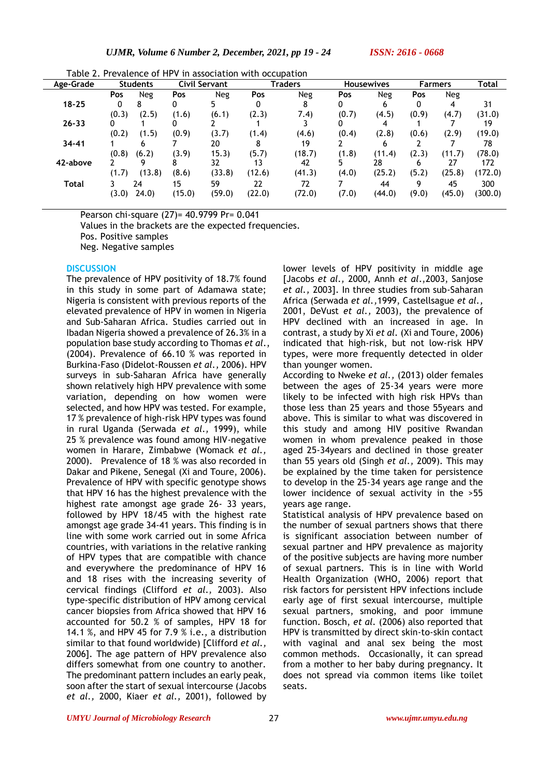Table 2. Prevalence of HPV in association with occupation

| . avu z.<br>TUVUULIILU VI<br>association with occupation |       |                 |                      |        |        |                |       |                   |              |                |         |
|----------------------------------------------------------|-------|-----------------|----------------------|--------|--------|----------------|-------|-------------------|--------------|----------------|---------|
| Age-Grade                                                |       | <b>Students</b> | <b>Civil Servant</b> |        |        | <b>Traders</b> |       | <b>Housewives</b> |              | <b>Farmers</b> | Total   |
|                                                          | Pos   | <b>Neg</b>      | Pos                  | Neg    | Pos    | <b>Neg</b>     | Pos   | <b>Neg</b>        | Pos          | Neg            |         |
| $18 - 25$                                                |       | 8               |                      |        |        |                |       |                   |              |                | 31      |
|                                                          | (0.3) | (2.5)           | (1.6)                | (6.1)  | (2.3)  | 7.4)           | (0.7) | (4.5)             | (0.9)        | (4.7)          | (31.0)  |
| $26 - 33$                                                | 0     |                 |                      |        |        |                |       |                   |              |                | 19      |
|                                                          | (0.2) | (1.5)           | (0.9)                | (3.7)  | (1.4)  | (4.6)          | (0.4) | (2.8)             | (0.6)        | (2.9)          | (19.0)  |
| $34 - 41$                                                |       | h               |                      | 20     | 8      | 19             |       |                   |              |                | 78      |
|                                                          | (0.8) | (6.2)           | (3.9)                | 15.3)  | (5.7)  | (18.7)         | (1.8) | (11.4)            | (2.3)        | (11.7)         | (78.0)  |
| 42-above                                                 |       |                 |                      | 32     | 13     | 42             |       | 28                | <sub>b</sub> | 27             | 172     |
|                                                          | (1.7) | (13.8)          | (8.6)                | (33.8) | (12.6) | (41.3)         | (4.0) | (25.2)            | (5.2)        | (25.8)         | (172.0) |
| Total                                                    |       | 24              | 15                   | 59     | 22     | 72             |       | 44                | 9            | 45             | 300     |
|                                                          | (3.0) | (24.0)          | (15.0)               | (59.0) | (22.0) | (72.0)         | (7.0) | (44.0)            | (9.0)        | (45.0)         | (300.0) |
|                                                          |       |                 |                      |        |        |                |       |                   |              |                |         |

Pearson chi-square (27)= 40.9799 Pr= 0.041

Values in the brackets are the expected frequencies.

Pos. Positive samples

Neg. Negative samples

#### **DISCUSSION**

The prevalence of HPV positivity of 18.7% found in this study in some part of Adamawa state; Nigeria is consistent with previous reports of the elevated prevalence of HPV in women in Nigeria and Sub-Saharan Africa. Studies carried out in Ibadan Nigeria showed a prevalence of 26.3% in a population base study according to Thomas *et al*., (2004). Prevalence of 66.10 % was reported in Burkina-Faso (Didelot-Roussen *et al.,* 2006). HPV surveys in sub-Saharan Africa have generally shown relatively high HPV prevalence with some variation, depending on how women were selected, and how HPV was tested. For example, 17 % prevalence of high-risk HPV types was found in rural Uganda (Serwada *et al.,* 1999), while 25 % prevalence was found among HIV-negative women in Harare, Zimbabwe (Womack *et al.,* 2000). Prevalence of 18 % was also recorded in Dakar and Pikene, Senegal (Xi and Toure, 2006). Prevalence of HPV with specific genotype shows that HPV 16 has the highest prevalence with the highest rate amongst age grade 26- 33 years, followed by HPV 18/45 with the highest rate amongst age grade 34-41 years. This finding is in line with some work carried out in some Africa countries, with variations in the relative ranking of HPV types that are compatible with chance and everywhere the predominance of HPV 16 and 18 rises with the increasing severity of cervical findings (Clifford *et al.,* 2003). Also type-specific distribution of HPV among cervical cancer biopsies from Africa showed that HPV 16 accounted for 50.2 % of samples, HPV 18 for 14.1 %, and HPV 45 for 7.9 % i.e., a distribution similar to that found worldwide) [Clifford *et al.,* 2006]. The age pattern of HPV prevalence also differs somewhat from one country to another. The predominant pattern includes an early peak, soon after the start of sexual intercourse (Jacobs *et al.,* 2000, Kiaer *et al.,* 2001), followed by

lower levels of HPV positivity in middle age [Jacobs *et al.,* 2000, Annh *et al*.,2003, Sanjose *et al.,* 2003]. In three studies from sub-Saharan Africa (Serwada *et al.,*1999, Castellsague *et al.,* 2001, DeVust *et al.,* 2003), the prevalence of HPV declined with an increased in age. In contrast, a study by Xi *et al.* (Xi and Toure, 2006) indicated that high-risk, but not low-risk HPV types, were more frequently detected in older than younger women.

According to Nweke *et al.,* (2013) older females between the ages of 25-34 years were more likely to be infected with high risk HPVs than those less than 25 years and those 55years and above. This is similar to what was discovered in this study and among HIV positive Rwandan women in whom prevalence peaked in those aged 25-34years and declined in those greater than 55 years old (Singh *et al.,* 2009). This may be explained by the time taken for persistence to develop in the 25-34 years age range and the lower incidence of sexual activity in the >55 years age range.

Statistical analysis of HPV prevalence based on the number of sexual partners shows that there is significant association between number of sexual partner and HPV prevalence as majority of the positive subjects are having more number of sexual partners. This is in line with World Health Organization (WHO, 2006) report that risk factors for persistent HPV infections include early age of first sexual intercourse, multiple sexual partners, smoking, and poor immune function. Bosch, *et al.* (2006) also reported that HPV is transmitted by direct skin-to-skin contact with vaginal and anal sex being the most common methods. Occasionally, it can spread from a mother to her baby during pregnancy. It does not spread via common items like toilet seats.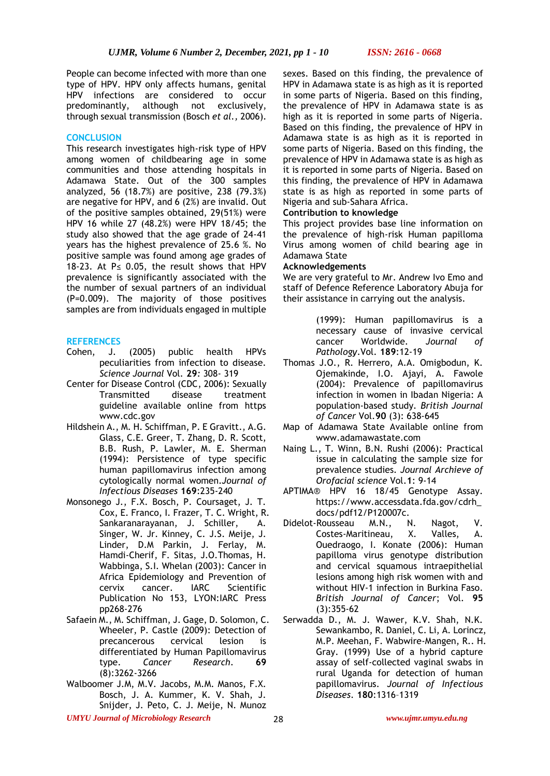People can become infected with more than one type of HPV. HPV only affects humans, genital HPV infections are considered to occur predominantly, although not exclusively, through sexual transmission (Bosch *et al.,* 2006).

#### **CONCLUSION**

This research investigates high-risk type of HPV among women of childbearing age in some communities and those attending hospitals in Adamawa State. Out of the 300 samples analyzed, 56 (18.7%) are positive, 238 (79.3%) are negative for HPV, and 6 (2%) are invalid. Out of the positive samples obtained, 29(51%) were HPV 16 while 27 (48.2%) were HPV 18/45; the study also showed that the age grade of 24-41 years has the highest prevalence of 25.6 %. No positive sample was found among age grades of 18-23. At P≤ 0.05, the result shows that HPV prevalence is significantly associated with the the number of sexual partners of an individual (P=0.009). The majority of those positives samples are from individuals engaged in multiple

#### **REFERENCES**

- Cohen, J. (2005) public health HPVs peculiarities from infection to disease. *Science Journal* Vol*.* **29***:* 308- 319
- Center for Disease Control (CDC, 2006): Sexually Transmitted disease treatment guideline available online from https www.cdc.gov
- Hildshein A., M. H. Schiffman, P. E Gravitt., A.G. Glass, C.E. Greer, T. Zhang, D. R. Scott, B.B. Rush, P. Lawler, M. E. Sherman (1994): Persistence of type specific human papillomavirus infection among cytologically normal women.*Journal of Infectious Diseases* **169**:235-240
- Monsonego J., F.X. Bosch, P. Coursaget, J. T. Cox, E. Franco, I. Frazer, T. C. Wright, R. Sankaranarayanan, J. Schiller, A. Singer, W. Jr. Kinney, C. J.S. Meije, J. Linder, D.M Parkin, J. Ferlay, M. Hamdi-Cherif, F. Sitas, J.O.Thomas, H. Wabbinga, S.I. Whelan (2003): Cancer in Africa Epidemiology and Prevention of cervix cancer. IARC Scientific Publication No 153, LYON:IARC Press pp268-276
- Safaein M., M. Schiffman, J. Gage, D. Solomon, C. Wheeler, P. Castle (2009): Detection of precancerous cervical lesion is differentiated by Human Papillomavirus<br>type. Cancer Research. 69 **Cancer** Research. **69** (8):3262-3266
- Walboomer J.M, M.V. Jacobs, M.M. Manos, F.X. Bosch, J. A. Kummer, K. V. Shah, J. Snijder, J. Peto, C. J. Meije, N. Munoz

sexes. Based on this finding, the prevalence of HPV in Adamawa state is as high as it is reported in some parts of Nigeria. Based on this finding, the prevalence of HPV in Adamawa state is as high as it is reported in some parts of Nigeria. Based on this finding, the prevalence of HPV in Adamawa state is as high as it is reported in some parts of Nigeria. Based on this finding, the prevalence of HPV in Adamawa state is as high as it is reported in some parts of Nigeria. Based on this finding, the prevalence of HPV in Adamawa state is as high as reported in some parts of Nigeria and sub-Sahara Africa.

### **Contribution to knowledge**

This project provides base line information on the prevalence of high-risk Human papilloma Virus among women of child bearing age in Adamawa State

### **Acknowledgements**

We are very grateful to Mr. Andrew Ivo Emo and staff of Defence Reference Laboratory Abuja for their assistance in carrying out the analysis.

> (1999): Human papillomavirus is a necessary cause of invasive cervical cancer Worldwide. *Journal of Pathology*.Vol. **189**:12-19

- Thomas J.O., R. Herrero, A.A. Omigbodun, K. Ojemakinde, I.O. Ajayi, A. Fawole (2004): Prevalence of papillomavirus infection in women in Ibadan Nigeria: A population-based study*. British Journal of Cancer* Vol.**90** (3): 638-645
- Map of Adamawa State Available online from www.adamawastate.com
- Naing L., T. Winn, B.N. Rushi (2006): Practical issue in calculating the sample size for prevalence studies*. Journal Archieve of Orofacial science* Vol.**1**: 9-14
- APTIMA® HPV 16 18/45 Genotype Assay. https://www.accessdata.fda.gov/cdrh\_ docs/pdf12/P120007c.<br>Rousseau M.N., N
- Didelot-Rousseau M.N., N. Nagot, V.<br>Costes-Maritineau, X. Valles, A. Costes-Maritineau, X. Valles, A. Ouedraogo, I. Konate (2006): Human papilloma virus genotype distribution and cervical squamous intraepithelial lesions among high risk women with and without HIV-1 infection in Burkina Faso. *British Journal of Cancer*; Vol. **95** (3):355-62
- Serwadda D., M. J. Wawer, K.V. Shah, N.K. Sewankambo, R. Daniel, C. Li, A. Lorincz, M.P. Meehan, F. Wabwire-Mangen, R.. H. Gray. (1999) Use of a hybrid capture assay of self-collected vaginal swabs in rural Uganda for detection of human papillomavirus. *Journal of Infectious Diseases*. **180**:1316–1319

*UMYU Journal of Microbiology Research www.ujmr.umyu.edu.ng*